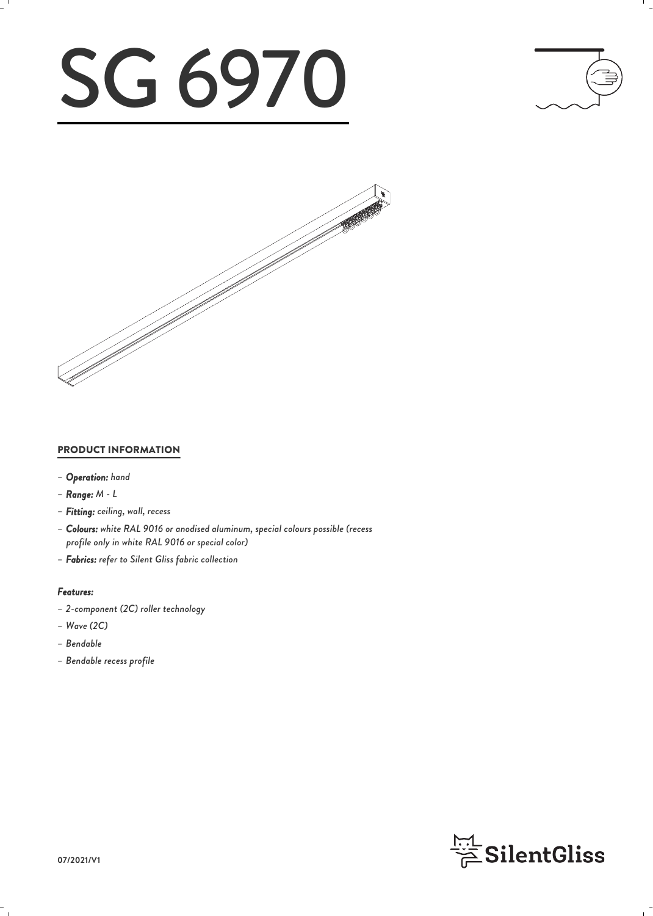# SG 6970





#### PRODUCT INFORMATION

- *– Operation: hand*
- *– Range: M L*
- *– Fitting: ceiling, wall, recess*
- *– Colours: white RAL 9016 or anodised aluminum, special colours possible (recess profile only in white RAL 9016 or special color)*
- *– Fabrics: refer to Silent Gliss fabric collection*

#### *Features:*

- *– 2-component (2C) roller technology*
- *– Wave (2C)*
- *– Bendable*
- *– Bendable recess profile*

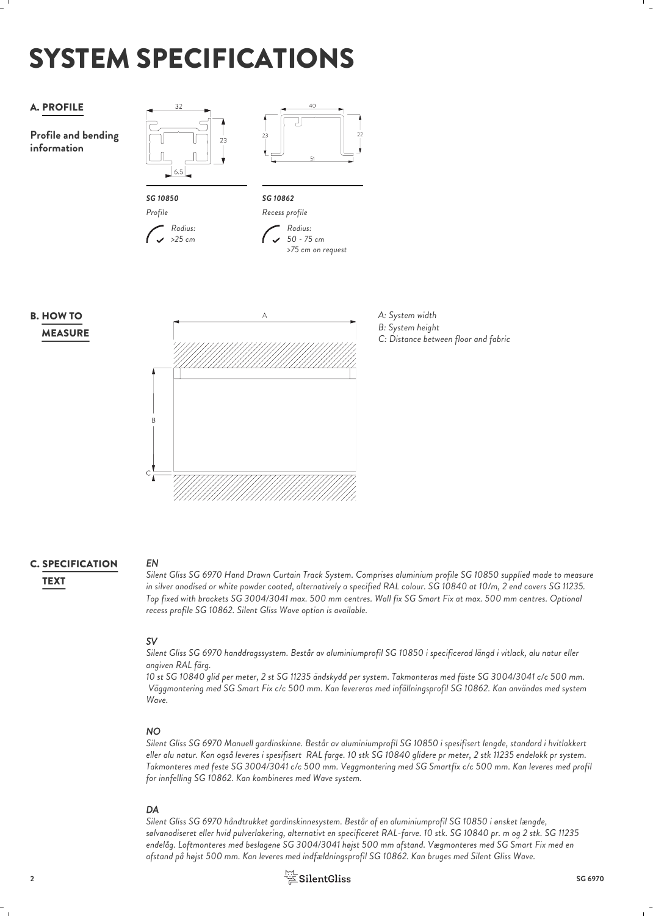# SYSTEM SPECIFICATIONS



#### **C. SPECIFICATION** EN

#### *EN*

*Silent Gliss SG 6970 Hand Drawn Curtain Track System. Comprises aluminium profile SG 10850 supplied made to measure in silver anodised or white powder coated, alternatively a specified RAL colour. SG 10840 at 10/m, 2 end covers SG 11235.* TEXT *Top fixed with brackets SG 3004/3041 max. 500 mm centres. Wall fix SG Smart Fix at max. 500 mm centres. Optional recess profile SG 10862. Silent Gliss Wave option is available.* 

#### *SV*

*Silent Gliss SG 6970 handdragssystem. Består av aluminiumprofil SG 10850 i specificerad längd i vitlack, alu natur eller angiven RAL färg.*

*10 st SG 10840 glid per meter, 2 st SG 11235 ändskydd per system. Takmonteras med fäste SG 3004/3041 c/c 500 mm. Väggmontering med SG Smart Fix c/c 500 mm. Kan levereras med infällningsprofil SG 10862. Kan användas med system Wave.* 

#### *NO*

*Silent Gliss SG 6970 Manuell gardinskinne. Består av aluminiumprofil SG 10850 i spesifisert lengde, standard i hvitlakkert eller alu natur. Kan også leveres i spesifisert RAL farge. 10 stk SG 10840 glidere pr meter, 2 stk 11235 endelokk pr system. Takmonteres med feste SG 3004/3041 c/c 500 mm. Veggmontering med SG Smartfix c/c 500 mm. Kan leveres med profil for innfelling SG 10862. Kan kombineres med Wave system.* 

#### *DA*

*Silent Gliss SG 6970 håndtrukket gardinskinnesystem. Består af en aluminiumprofil SG 10850 i ønsket længde, sølvanodiseret eller hvid pulverlakering, alternativt en specificeret RAL-farve. 10 stk. SG 10840 pr. m og 2 stk. SG 11235 endelåg. Loftmonteres med beslagene SG 3004/3041 højst 500 mm afstand. Vægmonteres med SG Smart Fix med en afstand på højst 500 mm. Kan leveres med indfældningsprofil SG 10862. Kan bruges med Silent Gliss Wave.* 

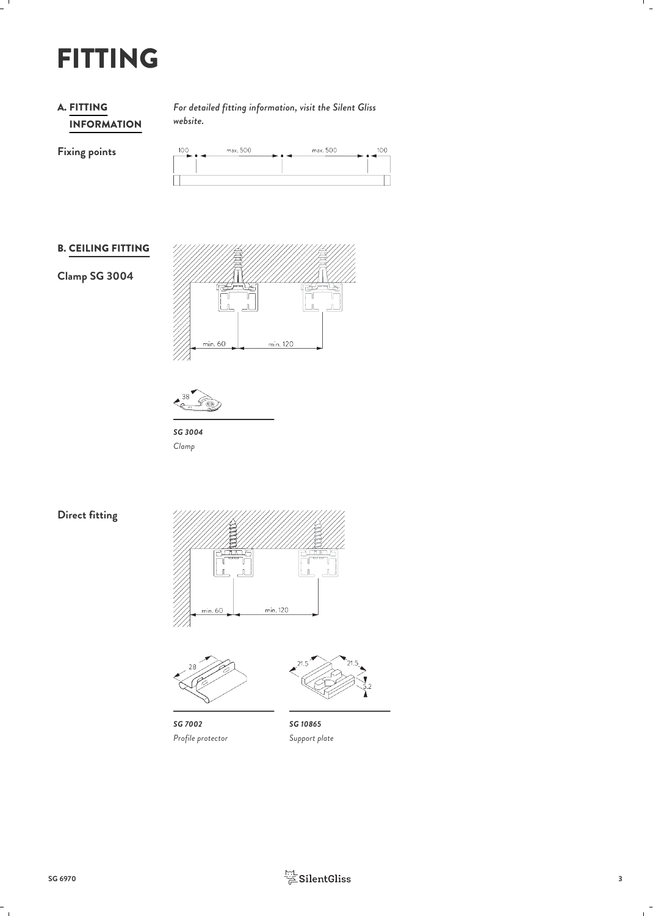## FITTING

#### INFORMATION A.

*For detailed fitting information, visit the Silent Gliss* FITTING *website.*



#### B. CEILING FITTING

**Clamp SG 3004**





*SG 3004 Clamp*

#### **Direct fitting**









*Support plate*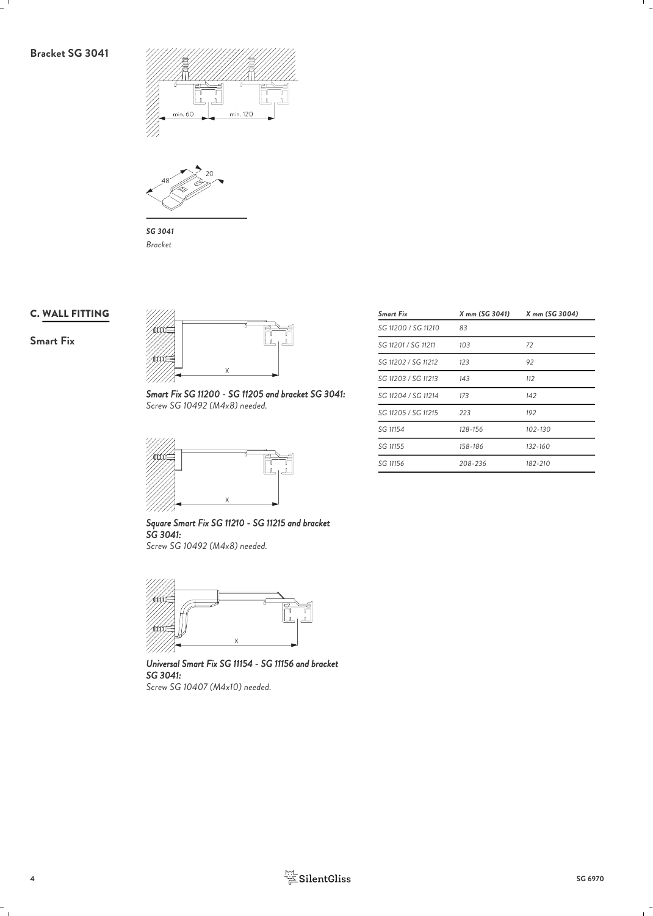#### **Bracket SG 3041**





*SG 3041 Bracket*

#### C. WALL FITTING

**Smart Fix**



*Smart Fix SG 11200 - SG 11205 and bracket SG 3041: Screw SG 10492 (M4x8) needed.*



*Square Smart Fix SG 11210 - SG 11215 and bracket SG 3041:*

*Screw SG 10492 (M4x8) needed.*



*Universal Smart Fix SG 11154 - SG 11156 and bracket SG 3041: Screw SG 10407 (M4x10) needed.*

| <b>Smart Fix</b>    | X mm (SG 3041) | X mm (SG 3004) |
|---------------------|----------------|----------------|
| SG 11200 / SG 11210 | 83             |                |
| SG 11201 / SG 11211 | 103            | 72             |
| SG 11202 / SG 11212 | 123            | 92             |
| SG 11203 / SG 11213 | 143            | 112            |
| SG 11204 / SG 11214 | 173            | 142            |
| SG 11205 / SG 11215 | 223            | 192            |
| SG 11154            | 128-156        | 102-130        |
| SG 11155            | 158-186        | 132-160        |
| SG 11156            | 208-236        | 182-210        |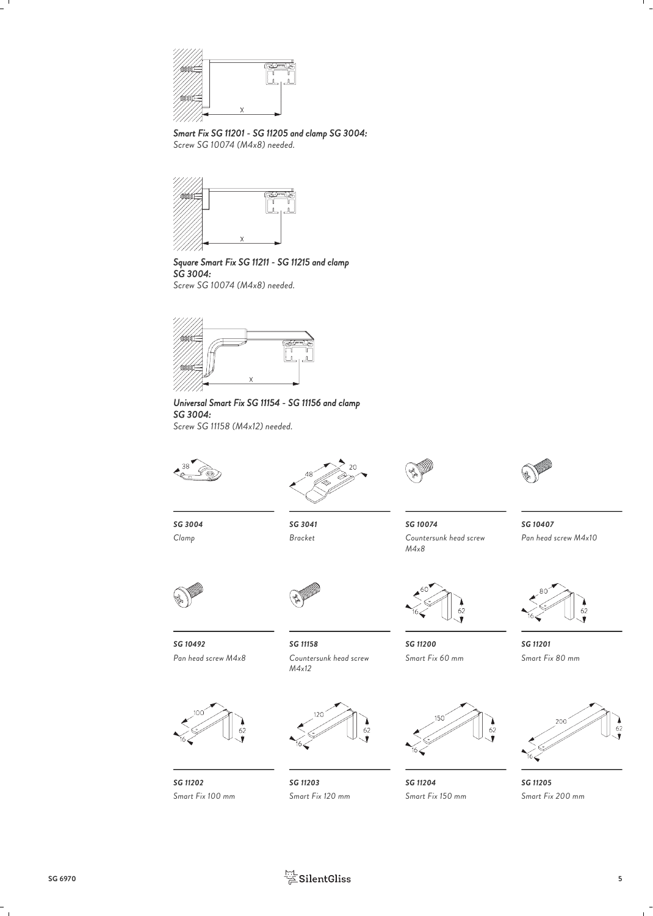

*Smart Fix SG 11201 - SG 11205 and clamp SG 3004: Screw SG 10074 (M4x8) needed.*



*Square Smart Fix SG 11211 - SG 11215 and clamp SG 3004: Screw SG 10074 (M4x8) needed.*



*Universal Smart Fix SG 11154 - SG 11156 and clamp SG 3004: Screw SG 11158 (M4x12) needed.*







*Clamp Bracket SG 3041*







*SG 11203 Smart Fix 120 mm*

*Pan head screw M4x10*



*SG 11158 SG 11200*



*SG 11204 SG 11205 Smart Fix 150 mm Smart Fix 200 mm*

*SG 3004*



*SG 10492*



*SG 11202 Smart Fix 100 mm*







*Smart Fix 60 mm Smart Fix 80 mm SG 11201*



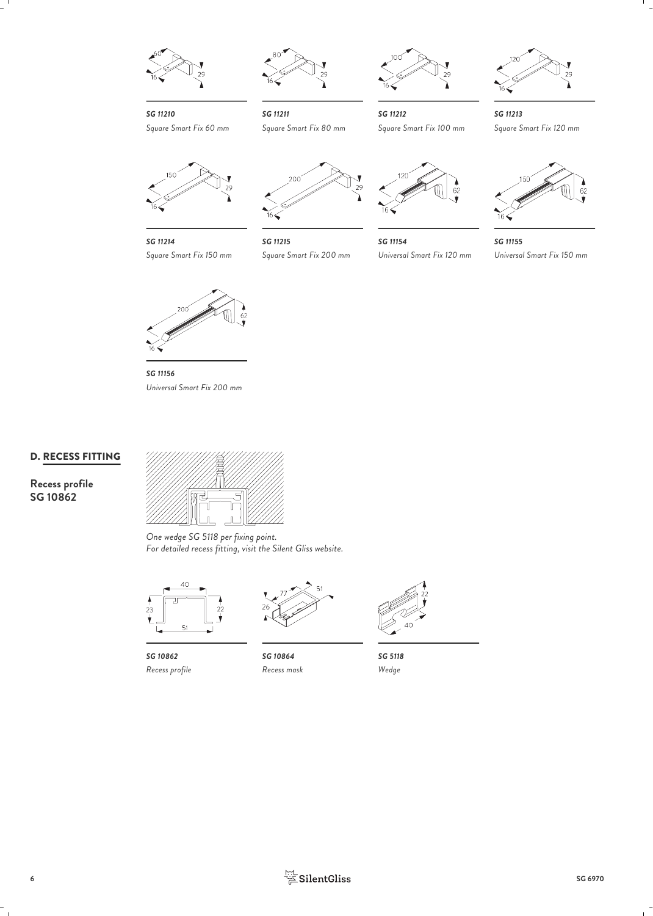



*SG 11210 SG 11211 Square Smart Fix 60 mm*





*Square Smart Fix 80 mm Square Smart Fix 100 mm SG 11212 SG 11213 Square Smart Fix 120 mm*





*SG 11215*



*SG 11154 SG 11155*





*Square Smart Fix 150 mm*

*Square Smart Fix 200 mm Universal Smart Fix 120 mm Universal Smart Fix 150 mm*



*SG 11156 Universal Smart Fix 200 mm*

#### D. RECESS FITTING

**Recess profile SG 10862**



*One wedge SG 5118 per fixing point. For detailed recess fitting, visit the Silent Gliss website.*



*Recess profile*



*SG 10862 SG 10864 Recess mask*



*SG 5118 Wedge*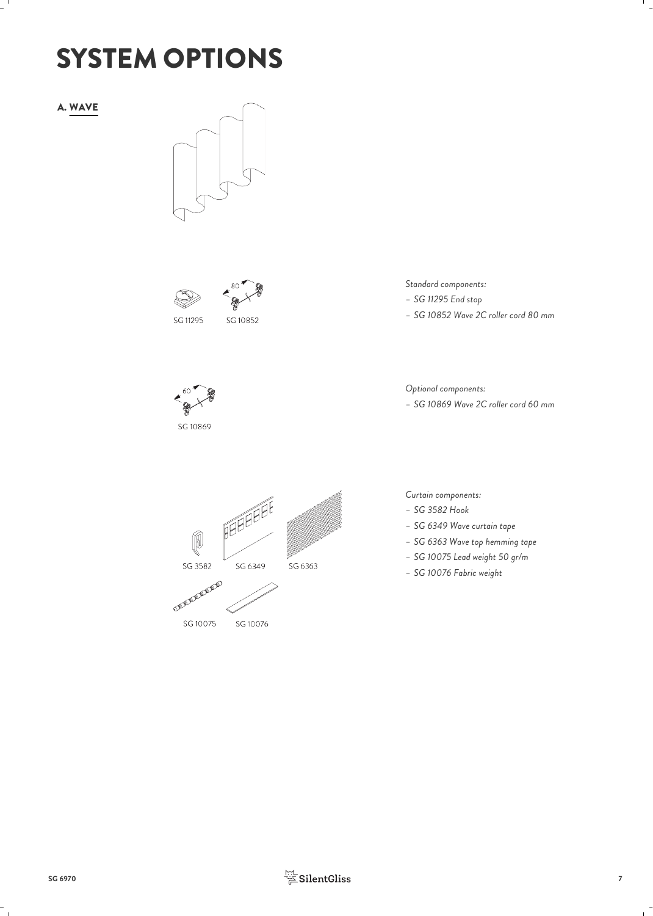## SYSTEM OPTIONS

#### A. WAVE





SG 10852



- *– SG 11295 End stop*
- *– SG 10852 Wave 2C roller cord 80 mm*



*Optional components: – SG 10869 Wave 2C roller cord 60 mm*



*Curtain components:*

- *– SG 3582 Hook*
- *– SG 6349 Wave curtain tape*
- *– SG 6363 Wave top hemming tape*
- *– SG 10075 Lead weight 50 gr/m*
- *– SG 10076 Fabric weight*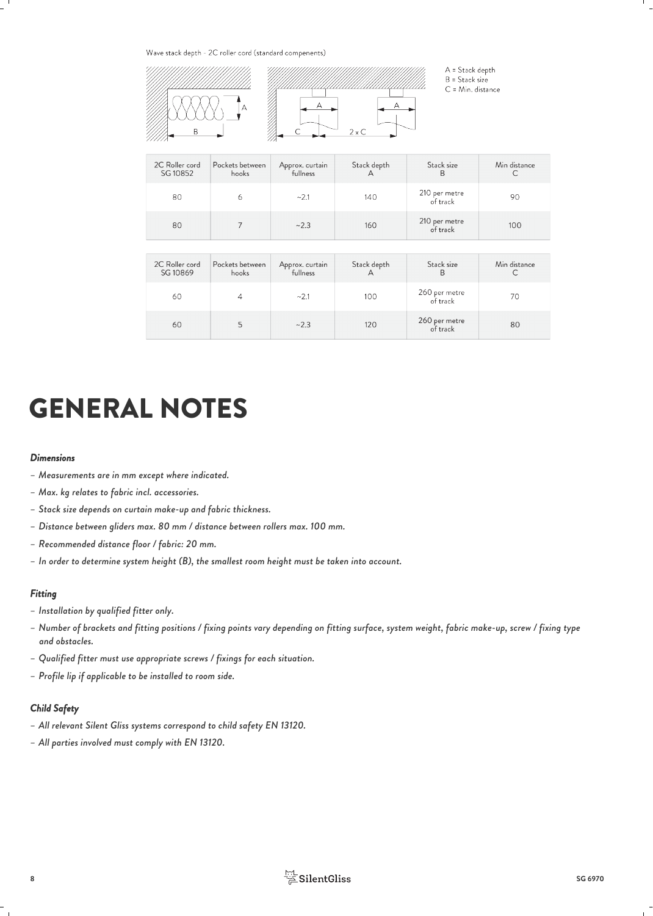Wave stack depth - 2C roller cord (standard compenents)



| 2C Roller cord<br>SG 10852 | Pockets between<br>hooks | Approx. curtain<br>fullness | Stack depth | Stack size<br>В           | Min distance |
|----------------------------|--------------------------|-----------------------------|-------------|---------------------------|--------------|
| 80                         | 6                        | ~2.1                        | 140         | 210 per metre<br>of track | 90           |
| 80                         |                          | ~2.3                        | 160         | 210 per metre<br>of track | 100          |

| 2C Roller cord<br>SG 10869 | Pockets between<br>hooks | Approx. curtain<br>fullness | Stack depth | Stack size<br>В           | Min distance |
|----------------------------|--------------------------|-----------------------------|-------------|---------------------------|--------------|
| 60                         |                          | ~2.1                        | 100         | 260 per metre<br>of track | 70           |
| 60                         |                          | ~2.3                        | 120         | 260 per metre<br>of track | 80           |

## GENERAL NOTES

#### *Dimensions*

- *– Measurements are in mm except where indicated.*
- *– Max. kg relates to fabric incl. accessories.*
- *– Stack size depends on curtain make-up and fabric thickness.*
- *– Distance between gliders max. 80 mm / distance between rollers max. 100 mm.*
- *– Recommended distance floor / fabric: 20 mm.*
- *– In order to determine system height (B), the smallest room height must be taken into account.*

#### *Fitting*

- *– Installation by qualified fitter only.*
- *– Number of brackets and fitting positions / fixing points vary depending on fitting surface, system weight, fabric make-up, screw / fixing type and obstacles.*
- *– Qualified fitter must use appropriate screws / fixings for each situation.*
- *– Profile lip if applicable to be installed to room side.*

#### *Child Safety*

- *– All relevant Silent Gliss systems correspond to child safety EN 13120.*
- *– All parties involved must comply with EN 13120.*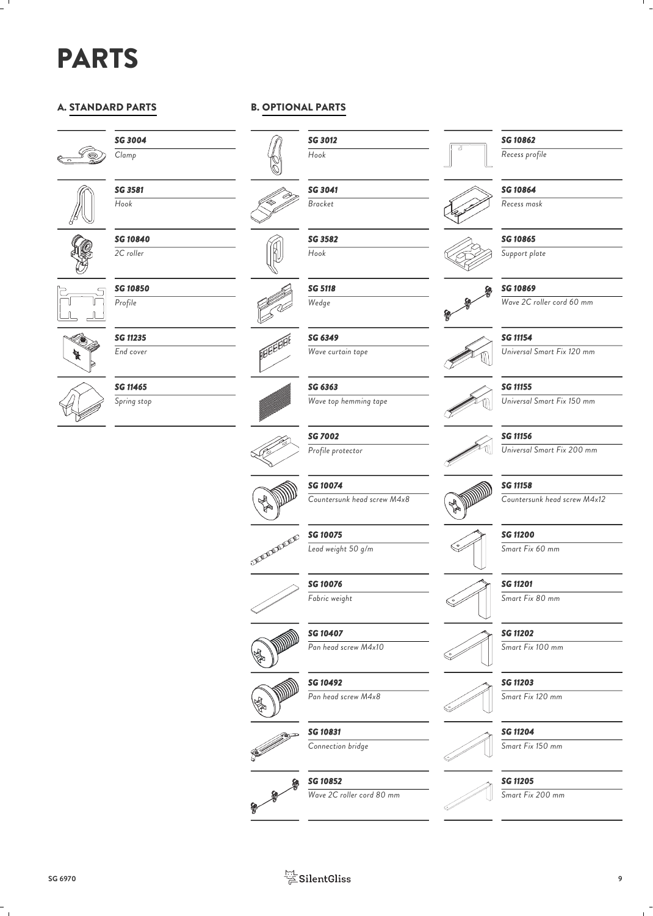# PARTS

#### A. STANDARD PARTS



*SG 3004 Clamp*



*SG 3581 Hook*



*SG 10840 2C roller*

*SG 10850 Profile*



*SG 11465*

*End cover*

*Spring stop*

#### B. OPTIONAL PARTS

*SG 3012 Hook*

*SG 3041 Bracket*

*SG 3582 Hook*

*SG 5118 Wedge*











*SG 6349 Wave curtain tape*

*SG 6363 Wave top hemming tape*























*SG 10862 Recess profile*

*SG 10864 Recess mask*

#### *SG 10865*

*Support plate*

#### *SG 10869*

*Wave 2C roller cord 60 mm*



#### *SG 11154*

*Universal Smart Fix 120 mm*



#### *SG 11155 Universal Smart Fix 150 mm*

#### *SG 11156*

*Universal Smart Fix 200 mm*



#### *SG 11158*

*Countersunk head screw M4x12*

#### *SG 11200*

*Smart Fix 60 mm*

#### *SG 11201*

*Smart Fix 80 mm*

#### *SG 11202*

*Smart Fix 100 mm*

#### *SG 11203*

*Smart Fix 120 mm*

#### *SG 11204*

*Smart Fix 150 mm*



*Smart Fix 200 mm*





*SG 7002 Profile protector*

**SG 10074**<br>Countersunk head screw  $M4\times8$ *Countersunk head screw M4x8*

*SG 10075 Lead weight 50 g/m*

*SG 10076 Fabric weight*

*SG 10407 Pan head screw M4x10*



*SG 10492 Pan head screw M4x8*

*SG 10831 Connection bridge*

*SG 10852 Wave 2C roller cord 80 mm*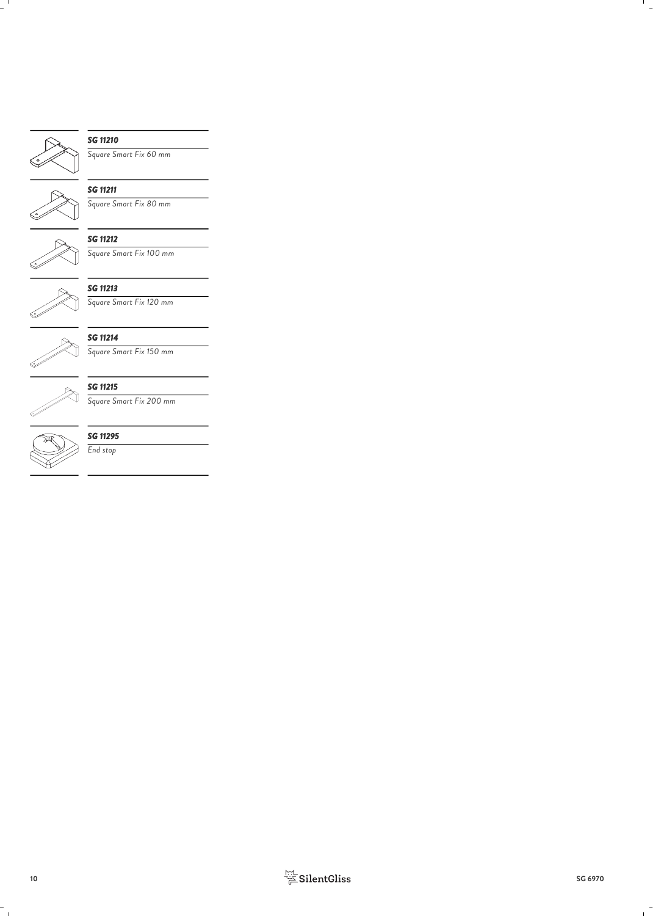

#### *SG 11210*

*SG 11212*

*Square Smart Fix 60 mm*

### *SG 11211*

*Square Smart Fix 80 mm*



*SG 11213*

*Square Smart Fix 120 mm*

*Square Smart Fix 100 mm*



## *SG 11214*

*Square Smart Fix 150 mm*

*Square Smart Fix 200 mm*

## *SG 11295*

*SG 11215*

*End stop*

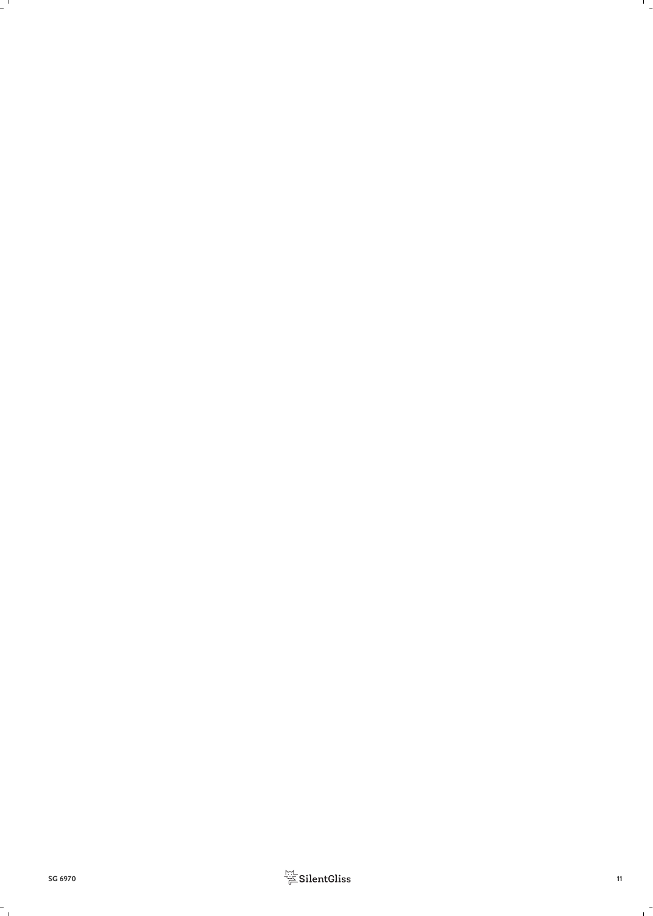